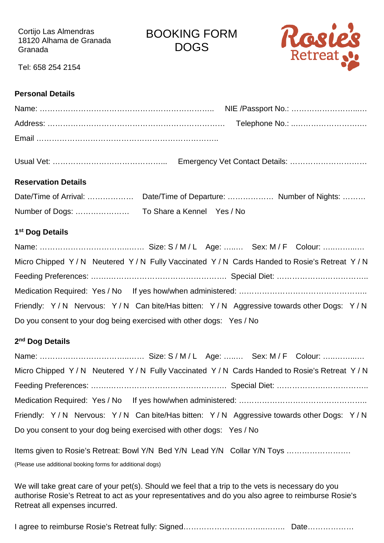Cortijo Las Almendras 18120 Alhama de Granada Granada

BOOKING FORM DOGS



Tel: 658 254 2154

## **Personal Details**

| <b>Reservation Details</b>                                           |                                                                                         |
|----------------------------------------------------------------------|-----------------------------------------------------------------------------------------|
|                                                                      |                                                                                         |
|                                                                      |                                                                                         |
| 1 <sup>st</sup> Dog Details                                          |                                                                                         |
|                                                                      |                                                                                         |
|                                                                      | Micro Chipped Y/N Neutered Y/N Fully Vaccinated Y/N Cards Handed to Rosie's Retreat Y/N |
|                                                                      |                                                                                         |
|                                                                      |                                                                                         |
|                                                                      | Friendly: Y/N Nervous: Y/N Can bite/Has bitten: Y/N Aggressive towards other Dogs: Y/N  |
| Do you consent to your dog being exercised with other dogs: Yes / No |                                                                                         |
| 2 <sup>nd</sup> Dog Details                                          |                                                                                         |
|                                                                      |                                                                                         |
|                                                                      | Micro Chipped Y/N Neutered Y/N Fully Vaccinated Y/N Cards Handed to Rosie's Retreat Y/N |
|                                                                      |                                                                                         |
|                                                                      |                                                                                         |
|                                                                      | Friendly: Y/N Nervous: Y/N Can bite/Has bitten: Y/N Aggressive towards other Dogs: Y/N  |
| Do you consent to your dog being exercised with other dogs: Yes / No |                                                                                         |
|                                                                      | Items given to Rosie's Retreat: Bowl Y/N Bed Y/N Lead Y/N Collar Y/N Toys               |
| (Please use additional booking forms for additional dogs)            |                                                                                         |

We will take great care of your pet(s). Should we feel that a trip to the vets is necessary do you authorise Rosie's Retreat to act as your representatives and do you also agree to reimburse Rosie's Retreat all expenses incurred.

I agree to reimburse Rosie's Retreat fully: Signed…………………………………………………………………………………